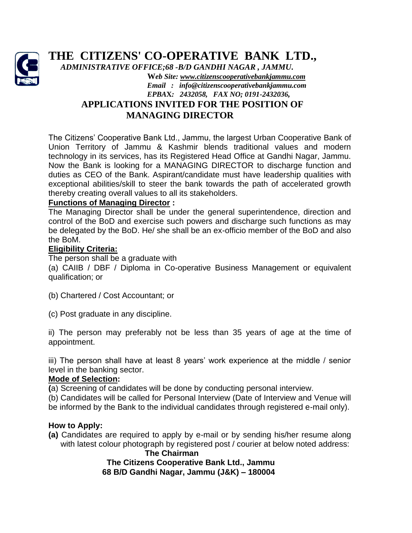

# **THE CITIZENS' CO-OPERATIVE BANK LTD.,**

 *ADMINISTRATIVE OFFICE;68 -B/D GANDHI NAGAR , JAMMU***.** 

**W***eb Site[: www.citizenscooperativebankjammu.com](http://www.citizenscooperativebankjammu.com/) Email : info@citizenscooperativebankjammu.com EPBA***X***: 2432058, FAX NO; 0191-2432036,*

# **APPLICATIONS INVITED FOR THE POSITION OF MANAGING DIRECTOR**

The Citizens' Cooperative Bank Ltd., Jammu, the largest Urban Cooperative Bank of Union Territory of Jammu & Kashmir blends traditional values and modern technology in its services, has its Registered Head Office at Gandhi Nagar, Jammu. Now the Bank is looking for a MANAGING DIRECTOR to discharge function and duties as CEO of the Bank. Aspirant/candidate must have leadership qualities with exceptional abilities/skill to steer the bank towards the path of accelerated growth thereby creating overall values to all its stakeholders.

# **Functions of Managing Director :**

The Managing Director shall be under the general superintendence, direction and control of the BoD and exercise such powers and discharge such functions as may be delegated by the BoD. He/ she shall be an ex-officio member of the BoD and also the BoM.

# **Eligibility Criteria:**

The person shall be a graduate with

(a) CAIIB / DBF / Diploma in Co-operative Business Management or equivalent qualification; or

- (b) Chartered / Cost Accountant; or
- (c) Post graduate in any discipline.

ii) The person may preferably not be less than 35 years of age at the time of appointment.

iii) The person shall have at least 8 years' work experience at the middle / senior level in the banking sector.

#### **Mode of Selection:**

**(**a) Screening of candidates will be done by conducting personal interview.

(b) Candidates will be called for Personal Interview (Date of Interview and Venue will

be informed by the Bank to the individual candidates through registered e-mail only).

# **How to Apply:**

**(a)** Candidates are required to apply by e-mail or by sending his/her resume along with latest colour photograph by registered post / courier at below noted address:

 **The Chairman The Citizens Cooperative Bank Ltd., Jammu 68 B/D Gandhi Nagar, Jammu (J&K) – 180004**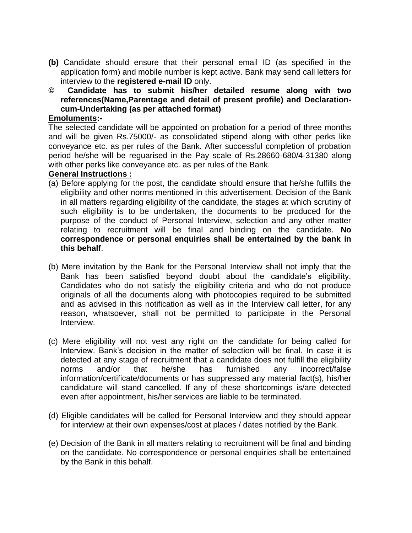- **(b)** Candidate should ensure that their personal email ID (as specified in the application form) and mobile number is kept active. Bank may send call letters for interview to the **registered e-mail ID** only.
- **© Candidate has to submit his/her detailed resume along with two references(Name,Parentage and detail of present profile) and Declarationcum-Undertaking (as per attached format)**

#### **Emoluments:-**

The selected candidate will be appointed on probation for a period of three months and will be given Rs.75000/- as consolidated stipend along with other perks like conveyance etc. as per rules of the Bank. After successful completion of probation period he/she will be reguarised in the Pay scale of Rs.28660-680/4-31380 along with other perks like conveyance etc. as per rules of the Bank.

# **General Instructions :**

- (a) Before applying for the post, the candidate should ensure that he/she fulfills the eligibility and other norms mentioned in this advertisement. Decision of the Bank in all matters regarding eligibility of the candidate, the stages at which scrutiny of such eligibility is to be undertaken, the documents to be produced for the purpose of the conduct of Personal Interview, selection and any other matter relating to recruitment will be final and binding on the candidate. **No correspondence or personal enquiries shall be entertained by the bank in this behalf**.
- (b) Mere invitation by the Bank for the Personal Interview shall not imply that the Bank has been satisfied beyond doubt about the candidate's eligibility. Candidates who do not satisfy the eligibility criteria and who do not produce originals of all the documents along with photocopies required to be submitted and as advised in this notification as well as in the Interview call letter, for any reason, whatsoever, shall not be permitted to participate in the Personal Interview.
- (c) Mere eligibility will not vest any right on the candidate for being called for Interview. Bank's decision in the matter of selection will be final. In case it is detected at any stage of recruitment that a candidate does not fulfill the eligibility norms and/or that he/she has furnished any incorrect/false information/certificate/documents or has suppressed any material fact(s), his/her candidature will stand cancelled. If any of these shortcomings is/are detected even after appointment, his/her services are liable to be terminated.
- (d) Eligible candidates will be called for Personal Interview and they should appear for interview at their own expenses/cost at places / dates notified by the Bank.
- (e) Decision of the Bank in all matters relating to recruitment will be final and binding on the candidate. No correspondence or personal enquiries shall be entertained by the Bank in this behalf.